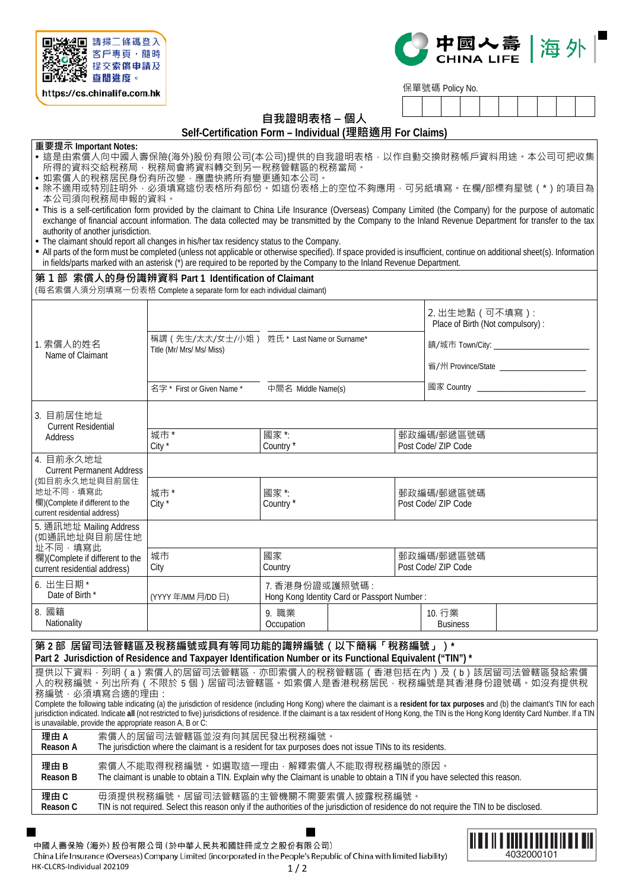



保單號碼 Policy No.

# **自我證明表格 – 個人**

**Self-Certification Form – Individual (理賠適用 For Claims)**

#### **重要提示 Important Notes:**

- 這是由索償人向中國人壽保險(海外)股份有限公司(本公司)提供的自我證明表格,以作自動交換財務帳戶資料用途。本公司可把收集 所得的資料交給稅務局,稅務局會將資料轉交到另一稅務管轄區的稅務當局。
- 如索償人的稅務居民身份有所改變,應盡快將所有變更通知本公司
- •除不適用或特別註明外,必須填寫這份表格所有部份。如這份表格上的空位不夠應用,可另紙填寫。在欄/部標有星號 ( \* ) 的項目為 本公司須向稅務局申報的資料。
- This is a self-certification form provided by the claimant to China Life Insurance (Overseas) Company Limited (the Company) for the purpose of automatic exchange of financial account information. The data collected may be transmitted by the Company to the Inland Revenue Department for transfer to the tax authority of another jurisdiction.
- The claimant should report all changes in his/her tax residency status to the Company.
- All parts of the form must be completed (unless not applicable or otherwise specified). If space provided is insufficient, continue on additional sheet(s). Information in fields/parts marked with an asterisk (\*) are required to be reported by the Company to the Inland Revenue Department.

## **第 1 部 索償人的身份識辨資料 Part 1 Identification of Claimant**

(每名索償人須分別填寫一份表格 Complete a separate form for each individual claimant)

| 1. 索償人的姓名<br>Name of Claimant                                                                | 稱謂 (先生/太太/女士/小姐) 姓氏 * Last Name or Surname*<br>Title (Mr/ Mrs/ Ms/ Miss)<br>名字 * First or Given Name * | 中間名 Middle Name(s)                                            |                                   |                                   | 2. 出生地點 (可不填寫):<br>Place of Birth (Not compulsory): | 鎮/城市 Town/City: ____________________________<br>省/州 Province/State ________________________<br>國家 Country ____________________________ |
|----------------------------------------------------------------------------------------------|--------------------------------------------------------------------------------------------------------|---------------------------------------------------------------|-----------------------------------|-----------------------------------|-----------------------------------------------------|----------------------------------------------------------------------------------------------------------------------------------------|
| 3. 目前居住地址<br><b>Current Residential</b>                                                      | 城市*                                                                                                    | 國家*:                                                          |                                   |                                   |                                                     |                                                                                                                                        |
| Address                                                                                      | City *                                                                                                 | Country*                                                      |                                   | 郵政編碼/郵遞區號碼<br>Post Code/ ZIP Code |                                                     |                                                                                                                                        |
| 4. 目前永久地址<br><b>Current Permanent Address</b>                                                |                                                                                                        |                                                               |                                   |                                   |                                                     |                                                                                                                                        |
| (如目前永久地址與目前居住<br>地址不同,填寫此<br>欄)(Complete if different to the<br>current residential address) | 城市*<br>City *                                                                                          | 國家 *:<br>Country*                                             | 郵政編碼/郵遞區號碼<br>Post Code/ ZIP Code |                                   |                                                     |                                                                                                                                        |
| 5. 通訊地址 Mailing Address<br>(如通訊地址與目前居住地<br>址不同,填寫此                                           |                                                                                                        |                                                               |                                   |                                   |                                                     |                                                                                                                                        |
| 欄)(Complete if different to the<br>current residential address)                              | 城市<br>City                                                                                             | 國家<br>Country                                                 |                                   | 郵政編碼/郵遞區號碼<br>Post Code/ ZIP Code |                                                     |                                                                                                                                        |
| 6. 出生日期 *<br>Date of Birth *                                                                 | (YYYY年/MM月/DD日)                                                                                        | 7. 香港身份證或護照號碼:<br>Hong Kong Identity Card or Passport Number: |                                   |                                   |                                                     |                                                                                                                                        |
| 8. 國籍<br>Nationality                                                                         |                                                                                                        | 9. 職業<br>Occupation                                           |                                   |                                   | 10. 行業<br><b>Business</b>                           |                                                                                                                                        |

## **第 2 部 居留司法管轄區及稅務編號或具有等同功能的識辨編號(以下簡稱「稅務編號」)\* Part 2 Jurisdiction of Residence and Taxpayer Identification Number or its Functional Equivalent ("TIN") \***

提供以下資料 · 列明(a)索償人的居留司法管轄區 · 亦即索償人的稅務管轄區(香港包括在內)及(b)該居留司法管轄區發給索償 人的稅務編號。列出所有(不限於 5 個)居留司法管轄區。如索償人是香港稅務居民,稅務編號是其香港身份證號碼。如沒有提供稅 務編號,必須填寫合適的理由

Complete the following table indicating (a) the jurisdiction of residence (including Hong Kong) where the claimant is a **resident for tax purposes** and (b) the claimant's TIN for each jurisdiction indicated. Indicate all (not restricted to five) jurisdictions of residence. If the claimant is a tax resident of Hong Kong, the TIN is the Hong Kong Identity Card Number. If a TIN is unavailable, provide the appropriate reason A, B or C:

| 理由A      | 索償人的居留司法管轄區並沒有向其居民發出稅務編號。                                                                                                                |
|----------|------------------------------------------------------------------------------------------------------------------------------------------|
| Reason A | The jurisdiction where the claimant is a resident for tax purposes does not issue TINs to its residents.                                 |
| 理由B      | 索償人不能取得稅務編號。如選取狺一理由,解釋索償人不能取得稅務編號的原因。                                                                                                    |
| Reason B | The claimant is unable to obtain a TIN. Explain why the Claimant is unable to obtain a TIN if you have selected this reason.             |
| 理由 C     | 毋須提供稅務編號。居留司法管轄區的主管機關不需要索償人披露稅務編號。                                                                                                       |
| Reason C | TIN is not required. Select this reason only if the authorities of the jurisdiction of residence do not require the TIN to be disclosed. |

中國人壽保險 (海外) 股份有限公司 (於中華人民共和國註冊成立之股份有限公司)

China Life Insurance (Overseas) Company Limited (incorporated in the People's Republic of China with limited liability) HK-CLCRS-Individual 202109  $1/2$